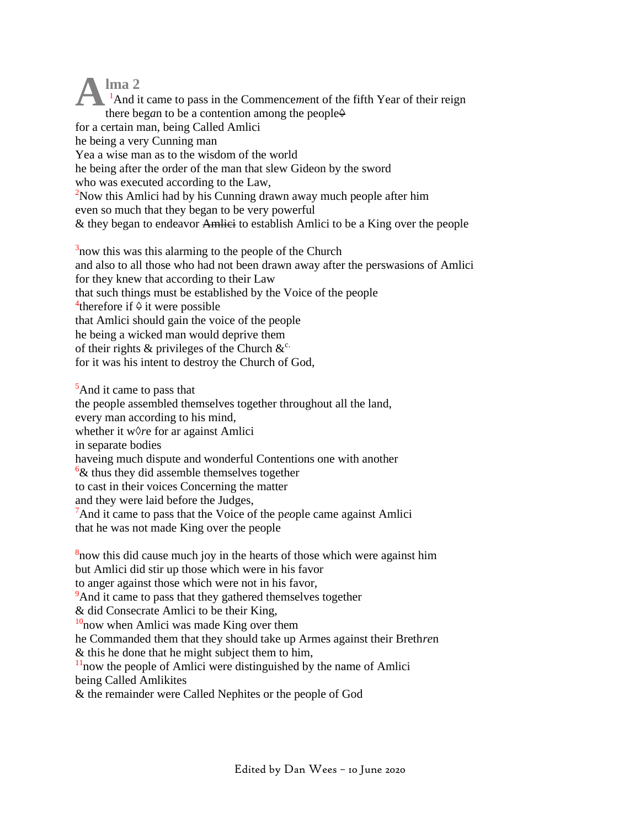**lma 2** <sup>1</sup>And it came to pass in the Commencement of the fifth Year of their reign there beg*a*n to be a contention among the people $\Theta$ for a certain man, being Called Amlici he being a very Cunning man Yea a wise man as to the wisdom of the world he being after the order of the man that slew Gideon by the sword who was executed according to the Law, <sup>2</sup>Now this Amlici had by his Cunning drawn away much people after him even so much that they began to be very powerful & they began to endeavor Amlici to establish Amlici to be a King over the people **A**

 $3$ now this was this alarming to the people of the Church and also to all those who had not been drawn away after the perswasions of Amlici for they knew that according to their Law that such things must be established by the Voice of the people <sup>4</sup>therefore if  $\theta$  it were possible that Amlici should gain the voice of the people he being a wicked man would deprive them of their rights  $\&$  privileges of the Church  $\&^c$ . for it was his intent to destroy the Church of God,

<sup>5</sup>And it came to pass that the people assembled themselves together throughout all the land, every man according to his mind, whether it w*◊r*e for ar against Amlici in separate bodies haveing much dispute and wonderful Contentions one with another  $6\&$  thus they did assemble themselves together to cast in their voices Concerning the matter and they were laid before the Judges, <sup>7</sup>And it came to pass that the Voice of the p*eo*ple came against Amlici that he was not made King over the people

 $8$ now this did cause much joy in the hearts of those which were against him but Amlici did stir up those which were in his favor to anger against those which were not in his favor, <sup>9</sup>And it came to pass that they gathered themselves together & did Consecrate Amlici to be their King,  $10$ <sub>n</sub>ow when Amlici was made King over them he Commanded them that they should take up Armes against their Breth*re*n & this he done that he might subject them to him,  $11$ now the people of Amlici were distinguished by the name of Amlici being Called Amlikites & the remainder were Called Nephites or the people of God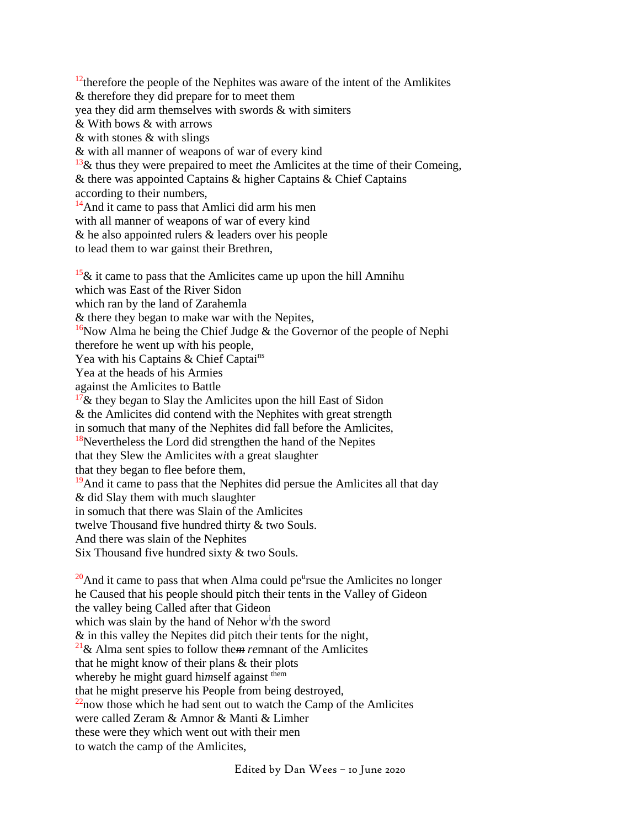$12$ <sup>12</sup>therefore the people of the Nephites was aware of the intent of the Amlikites & therefore they did prepare for to meet them yea they did arm themselves with swords & with simiters & With bows & with arrows & with stones & with slings & with all manner of weapons of war of every kind <sup>13</sup>& thus they were prepaired to meet *t*he Amlicites at the time of their Comeing, & there was appointed Captains & higher Captains & Chief Captains according to their numb*e*rs, <sup>14</sup>And it came to pass that Amlici did arm his men with all manner of weapons of war of every kind & he also appoin*t*ed rulers & leaders over his people to lead them to war gainst their Brethren,  $15\&$  it came to pass that the Amlicites came up upon the hill Amnihu which was East of the River Sidon which ran by the land of Zarahemla & there they began to make war with the Nepites, <sup>16</sup>Now Alma he being the Chief Judge  $\&$  the Governor of the people of Nephi therefore he went up w*i*th his people, Yea with his Captains & Chief Captains Yea at the heads of his Armies against the Amlicites to Battle <sup>17</sup>& they be*g*an to Slay the Amlicites upon the hill East of Sidon & the Amlicites did contend with the Nephites with great strength in somuch that many of the Nephites did fall before the Amlicites,  $18$ Nevertheless the Lord did strengthen the hand of the Nepites that they Slew the Amlicites w*i*th a great slaughter that they began to flee before them,

 $19$ And it came to pass that the Nephites did persue the Amlicites all that day & did Slay them with much slaughter in somuch that there was Slain of the Amlicites

twelve Thousand five hundred thirty & two Souls.

And there was slain of the Nephites

Six Thousand five hundred sixty & two Souls.

 $20$ And it came to pass that when Alma could pe<sup>u</sup>rsue the Amlicites no longer he Caused that his people should pitch their tents in the Valley of Gideon the valley being Called after that Gideon which was slain by the hand of Nehor w<sup>i</sup> *t*h the sword & in this valley the Nepites did pitch their tents for the night, <sup>21</sup>& Alma sent spies to follow the*m re*mnant of the Amlicites that he might know of their plans & their plots whereby he might guard himself against them that he might preserve his People from being destroyed,  $^{22}$ now those which he had sent out to watch the Camp of the Amlicites were called Zeram & Amnor & Manti & Limher these were they which went out with their men to watch the camp of the Amlicites,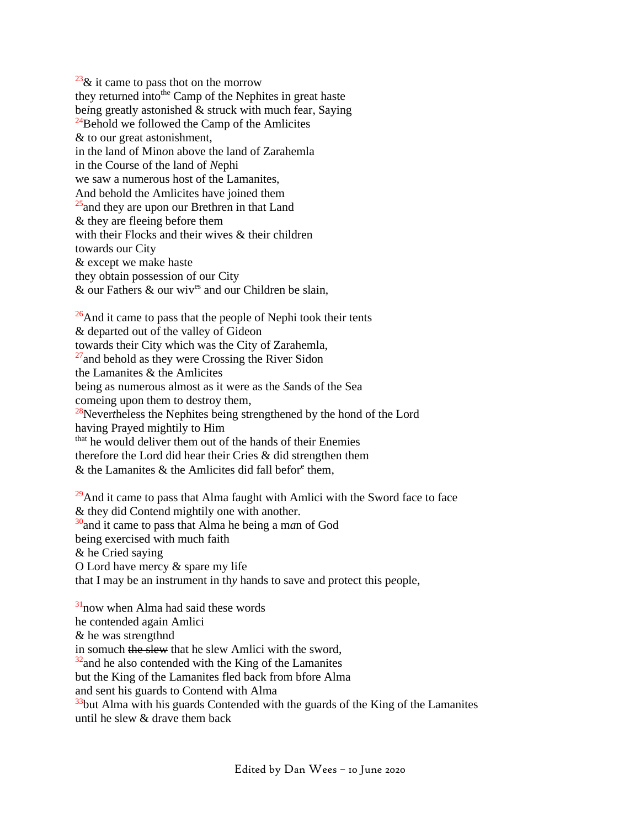$^{23}$ & it came to pass thot on the morrow they returned into<sup>the</sup> Camp of the Nephites in great haste be*i*ng greatly astonished & struck with much fear, Saying  $^{24}$ Behold we followed the Camp of the Amlicites & to our great astonishment, in the land of Min*o*n above the land of Zarahemla in the Course of the land of *N*ephi we saw a numerous host of the Lamanites, And behold the Amlicites have joined them  $25$  and they are upon our Brethren in that Land & they are fleeing before them with their Flocks and their wives & their children towards our City & except we make haste they obtain possession of our City  $\&$  our Fathers  $\&$  our wiv<sup>es</sup> and our Children be slain.

 $^{26}$ And it came to pass that the people of Nephi took their tents & departed out of the valley of Gideon towards their City which was the City of Zarahemla,  $27$  and behold as they were Crossing the River Sidon the Lamanites & the Amlicites being as numerous almost as it were as the *S*ands of the Sea comeing upon them to destroy them, <sup>28</sup>Never*t*heless the Nephites being strengthened by the hond of the Lord having Prayed mightily to Him that he would deliver them out of the hands of their Enemies therefore the Lord did hear their Cries & did strengthen them

 $\&$  the Lamanites  $\&$  the Amlicites did fall befor<sup>e</sup> them,

 $29$ And it came to pass that Alma faught with Amlici with the Sword face to face & they did Contend mightily one with another. <sup>30</sup>and it came to pass that Alma he being a m*a*n of God being exercised with much faith & he Cried saying O Lord have mercy & spare my life that I may be an instrument in th*y* hands to save and protect this p*e*ople,

 $31$ now when Alma had said these words he contended again Amlici & he was strengthnd in somuch the slew that he slew Amlici with the sword,  $32$  and he also contended with the King of the Lamanites but the King of the Lamanites fled back from bfore Alma and sent his guards to Contend with Alma  $33$ but Alma with his guards Contended with the guards of the King of the Lamanites until he slew  $\&$  drave them back